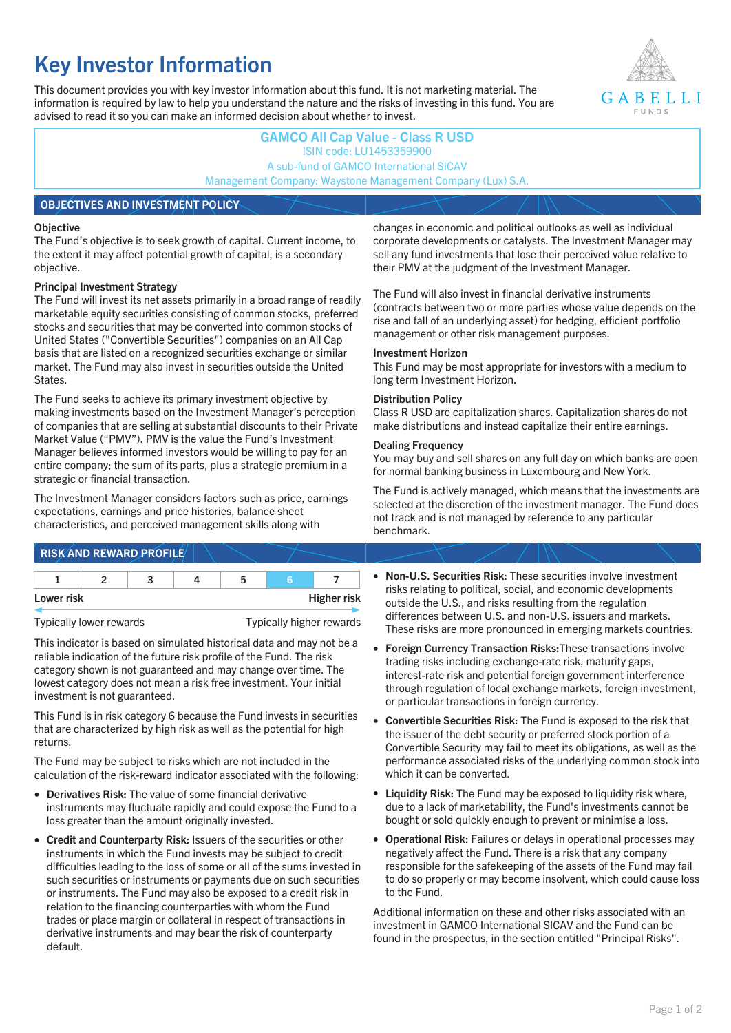# **Key Investor Information**

This document provides you with key investor information about this fund. It is not marketing material. The information is required by law to help you understand the nature and the risks of investing in this fund. You are advised to read it so you can make an informed decision about whether to invest.



## **GAMCO All Cap Value - Class R USD** ISIN code: LU1453359900 A sub-fund of GAMCO International SICAV Management Company: Waystone Management Company (Lux) S.A. **OBJECTIVES AND INVESTMENT POLICY**

#### **Objective**

The Fund's objective is to seek growth of capital. Current income, to the extent it may affect potential growth of capital, is a secondary objective.

#### **Principal Investment Strategy**

**RICK AND REWARD PROFILE** 

The Fund will invest its net assets primarily in a broad range of readily marketable equity securities consisting of common stocks, preferred stocks and securities that may be converted into common stocks of United States ("Convertible Securities") companies on an All Cap basis that are listed on a recognized securities exchange or similar market. The Fund may also invest in securities outside the United States.

The Fund seeks to achieve its primary investment objective by making investments based on the Investment Manager's perception of companies that are selling at substantial discounts to their Private Market Value ("PMV"). PMV is the value the Fund's Investment Manager believes informed investors would be willing to pay for an entire company; the sum of its parts, plus a strategic premium in a strategic or financial transaction.

The Investment Manager considers factors such as price, earnings expectations, earnings and price histories, balance sheet characteristics, and perceived management skills along with

changes in economic and political outlooks as well as individual corporate developments or catalysts. The Investment Manager may sell any fund investments that lose their perceived value relative to their PMV at the judgment of the Investment Manager.

The Fund will also invest in financial derivative instruments (contracts between two or more parties whose value depends on the rise and fall of an underlying asset) for hedging, efficient portfolio management or other risk management purposes.

#### **Investment Horizon**

This Fund may be most appropriate for investors with a medium to long term Investment Horizon.

#### **Distribution Policy**

Class R USD are capitalization shares. Capitalization shares do not make distributions and instead capitalize their entire earnings.

#### **Dealing Frequency**

You may buy and sell shares on any full day on which banks are open for normal banking business in Luxembourg and New York.

The Fund is actively managed, which means that the investments are selected at the discretion of the investment manager. The Fund does not track and is not managed by reference to any particular benchmark.

| <b>INSKANDREWARD FROFILD</b>                        |  |  |  |  |  |  |                                                                                                                              |  |  |
|-----------------------------------------------------|--|--|--|--|--|--|------------------------------------------------------------------------------------------------------------------------------|--|--|
|                                                     |  |  |  |  |  |  | • Non-U.S. Securities Risk: These securities involve investment                                                              |  |  |
| <b>Higher risk</b><br>Lower risk                    |  |  |  |  |  |  | risks relating to political, social, and economic developments<br>outside the U.S., and risks resulting from the regulation  |  |  |
| Typically higher rewards<br>Typically lower rewards |  |  |  |  |  |  | differences between U.S. and non-U.S. issuers and markets.<br>These risks are more pronounced in emerging markets countries. |  |  |

- **Foreign Currency Transaction Risks:**These transactions involve trading risks including exchange-rate risk, maturity gaps, interest-rate risk and potential foreign government interference through regulation of local exchange markets, foreign investment, or particular transactions in foreign currency.
	- **Convertible Securities Risk:** The Fund is exposed to the risk that the issuer of the debt security or preferred stock portion of a Convertible Security may fail to meet its obligations, as well as the performance associated risks of the underlying common stock into which it can be converted.
	- **Liquidity Risk:** The Fund may be exposed to liquidity risk where, due to a lack of marketability, the Fund's investments cannot be bought or sold quickly enough to prevent or minimise a loss.
	- **Operational Risk:** Failures or delays in operational processes may negatively affect the Fund. There is a risk that any company responsible for the safekeeping of the assets of the Fund may fail to do so properly or may become insolvent, which could cause loss to the Fund.

Additional information on these and other risks associated with an investment in GAMCO International SICAV and the Fund can be found in the prospectus, in the section entitled "Principal Risks".

This indicator is based on simulated historical data and may not be a reliable indication of the future risk profile of the Fund. The risk category shown is not guaranteed and may change over time. The lowest category does not mean a risk free investment. Your initial investment is not guaranteed.

This Fund is in risk category 6 because the Fund invests in securities that are characterized by high risk as well as the potential for high returns.

The Fund may be subject to risks which are not included in the calculation of the risk-reward indicator associated with the following:

- **Derivatives Risk:** The value of some financial derivative instruments may fluctuate rapidly and could expose the Fund to a loss greater than the amount originally invested.
- **Credit and Counterparty Risk:** Issuers of the securities or other instruments in which the Fund invests may be subject to credit difficulties leading to the loss of some or all of the sums invested in such securities or instruments or payments due on such securities or instruments. The Fund may also be exposed to a credit risk in relation to the financing counterparties with whom the Fund trades or place margin or collateral in respect of transactions in derivative instruments and may bear the risk of counterparty default.